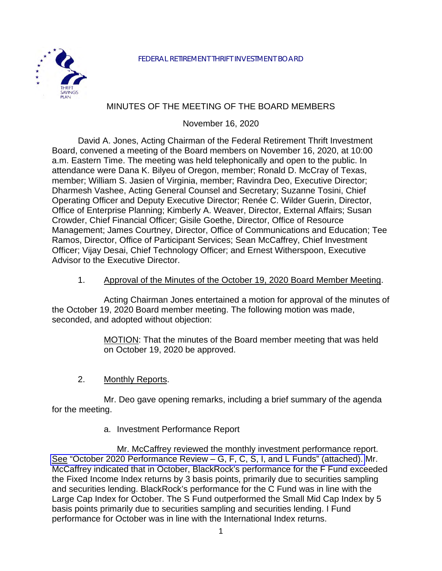

# MINUTES OF THE MEETING OF THE BOARD MEMBERS

November 16, 2020

David A. Jones, Acting Chairman of the Federal Retirement Thrift Investment Board, convened a meeting of the Board members on November 16, 2020, at 10:00 a.m. Eastern Time. The meeting was held telephonically and open to the public. In attendance were Dana K. Bilyeu of Oregon, member; Ronald D. McCray of Texas, member; William S. Jasien of Virginia, member; Ravindra Deo, Executive Director; Dharmesh Vashee, Acting General Counsel and Secretary; Suzanne Tosini, Chief Operating Officer and Deputy Executive Director; Renée C. Wilder Guerin, Director, Office of Enterprise Planning; Kimberly A. Weaver, Director, External Affairs; Susan Crowder, Chief Financial Officer; Gisile Goethe, Director, Office of Resource Management; James Courtney, Director, Office of Communications and Education; Tee Ramos, Director, Office of Participant Services; Sean McCaffrey, Chief Investment Officer; Vijay Desai, Chief Technology Officer; and Ernest Witherspoon, Executive Advisor to the Executive Director.

#### 1. Approval of the Minutes of the October 19, 2020 Board Member Meeting.

Acting Chairman Jones entertained a motion for approval of the minutes of the October 19, 2020 Board member meeting. The following motion was made, seconded, and adopted without objection:

> MOTION: That the minutes of the Board member meeting that was held on October 19, 2020 be approved.

2. Monthly Reports.

Mr. Deo gave opening remarks, including a brief summary of the agenda for the meeting.

a. Investment Performance Report

Mr. McCaffrey reviewed the monthly investment performance report. See ["October 2020 Performance Review – G, F, C, S, I, and L Funds" \(attached\).](https://www.frtib.gov/pdf/minutes/2020/Nov/MM-2020Nov-Att1.pdf) Mr. McCaffrey indicated that in October, BlackRock's performance for the F Fund exceeded the Fixed Income Index returns by 3 basis points, primarily due to securities sampling and securities lending. BlackRock's performance for the C Fund was in line with the Large Cap Index for October. The S Fund outperformed the Small Mid Cap Index by 5 basis points primarily due to securities sampling and securities lending. I Fund performance for October was in line with the International Index returns.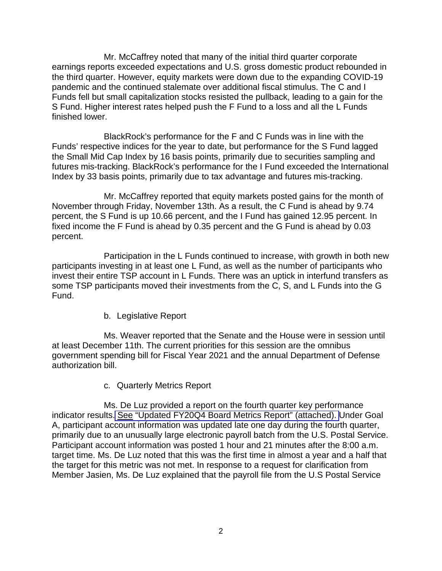Mr. McCaffrey noted that many of the initial third quarter corporate earnings reports exceeded expectations and U.S. gross domestic product rebounded in the third quarter. However, equity markets were down due to the expanding COVID-19 pandemic and the continued stalemate over additional fiscal stimulus. The C and I Funds fell but small capitalization stocks resisted the pullback, leading to a gain for the S Fund. Higher interest rates helped push the F Fund to a loss and all the L Funds finished lower.

BlackRock's performance for the F and C Funds was in line with the Funds' respective indices for the year to date, but performance for the S Fund lagged the Small Mid Cap Index by 16 basis points, primarily due to securities sampling and futures mis-tracking. BlackRock's performance for the I Fund exceeded the International Index by 33 basis points, primarily due to tax advantage and futures mis-tracking.

Mr. McCaffrey reported that equity markets posted gains for the month of November through Friday, November 13th. As a result, the C Fund is ahead by 9.74 percent, the S Fund is up 10.66 percent, and the I Fund has gained 12.95 percent. In fixed income the F Fund is ahead by 0.35 percent and the G Fund is ahead by 0.03 percent.

Participation in the L Funds continued to increase, with growth in both new participants investing in at least one L Fund, as well as the number of participants who invest their entire TSP account in L Funds. There was an uptick in interfund transfers as some TSP participants moved their investments from the C, S, and L Funds into the G Fund.

b. Legislative Report

Ms. Weaver reported that the Senate and the House were in session until at least December 11th. The current priorities for this session are the omnibus government spending bill for Fiscal Year 2021 and the annual Department of Defense authorization bill.

c. Quarterly Metrics Report

Ms. De Luz provided a report on the fourth quarter key performance indicator results. See ["Updated FY20Q4 Board Metrics Report" \(attached\).](https://www.frtib.gov/pdf/minutes/2020/Nov/MM-2020Nov-Att2.pdf) Under Goal A, participant account information was updated late one day during the fourth quarter, primarily due to an unusually large electronic payroll batch from the U.S. Postal Service. Participant account information was posted 1 hour and 21 minutes after the 8:00 a.m. target time. Ms. De Luz noted that this was the first time in almost a year and a half that the target for this metric was not met. In response to a request for clarification from Member Jasien, Ms. De Luz explained that the payroll file from the U.S Postal Service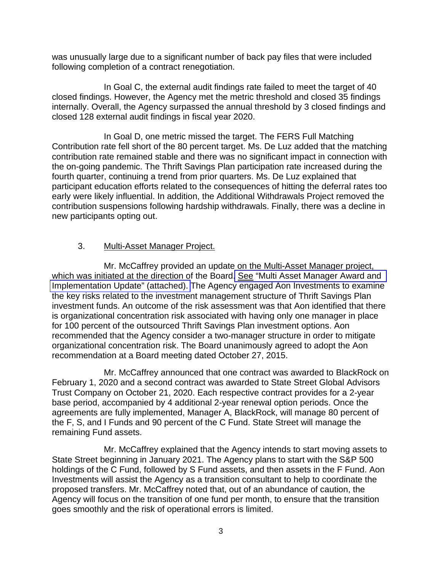was unusually large due to a significant number of back pay files that were included following completion of a contract renegotiation.

In Goal C, the external audit findings rate failed to meet the target of 40 closed findings. However, the Agency met the metric threshold and closed 35 findings internally. Overall, the Agency surpassed the annual threshold by 3 closed findings and closed 128 external audit findings in fiscal year 2020.

In Goal D, one metric missed the target. The FERS Full Matching Contribution rate fell short of the 80 percent target. Ms. De Luz added that the matching contribution rate remained stable and there was no significant impact in connection with the on-going pandemic. The Thrift Savings Plan participation rate increased during the fourth quarter, continuing a trend from prior quarters. Ms. De Luz explained that participant education efforts related to the consequences of hitting the deferral rates too early were likely influential. In addition, the Additional Withdrawals Project removed the contribution suspensions following hardship withdrawals. Finally, there was a decline in new participants opting out.

## 3. Multi-Asset Manager Project.

Mr. McCaffrey provided an update on the Multi-Asset Manager project, which was initiated at the direction of the Board. See ["Multi Asset Manager Award and](https://www.frtib.gov/pdf/minutes/2020/Nov/MM-2020Nov-Att3.pdf)  [Implementation Update" \(attached\).](https://www.frtib.gov/pdf/minutes/2020/Nov/MM-2020Nov-Att3.pdf) The Agency engaged Aon Investments to examine the key risks related to the investment management structure of Thrift Savings Plan investment funds. An outcome of the risk assessment was that Aon identified that there is organizational concentration risk associated with having only one manager in place for 100 percent of the outsourced Thrift Savings Plan investment options. Aon recommended that the Agency consider a two-manager structure in order to mitigate organizational concentration risk. The Board unanimously agreed to adopt the Aon recommendation at a Board meeting dated October 27, 2015.

Mr. McCaffrey announced that one contract was awarded to BlackRock on February 1, 2020 and a second contract was awarded to State Street Global Advisors Trust Company on October 21, 2020. Each respective contract provides for a 2-year base period, accompanied by 4 additional 2-year renewal option periods. Once the agreements are fully implemented, Manager A, BlackRock, will manage 80 percent of the F, S, and I Funds and 90 percent of the C Fund. State Street will manage the remaining Fund assets.

Mr. McCaffrey explained that the Agency intends to start moving assets to State Street beginning in January 2021. The Agency plans to start with the S&P 500 holdings of the C Fund, followed by S Fund assets, and then assets in the F Fund. Aon Investments will assist the Agency as a transition consultant to help to coordinate the proposed transfers. Mr. McCaffrey noted that, out of an abundance of caution, the Agency will focus on the transition of one fund per month, to ensure that the transition goes smoothly and the risk of operational errors is limited.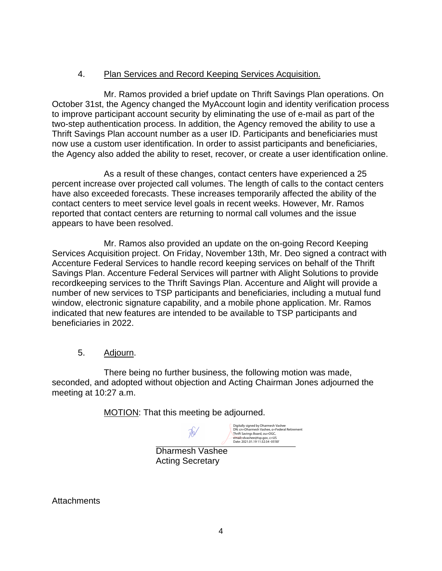# 4. Plan Services and Record Keeping Services Acquisition.

Mr. Ramos provided a brief update on Thrift Savings Plan operations. On October 31st, the Agency changed the MyAccount login and identity verification process to improve participant account security by eliminating the use of e-mail as part of the two-step authentication process. In addition, the Agency removed the ability to use a Thrift Savings Plan account number as a user ID. Participants and beneficiaries must now use a custom user identification. In order to assist participants and beneficiaries, the Agency also added the ability to reset, recover, or create a user identification online.

As a result of these changes, contact centers have experienced a 25 percent increase over projected call volumes. The length of calls to the contact centers have also exceeded forecasts. These increases temporarily affected the ability of the contact centers to meet service level goals in recent weeks. However, Mr. Ramos reported that contact centers are returning to normal call volumes and the issue appears to have been resolved.

Mr. Ramos also provided an update on the on-going Record Keeping Services Acquisition project. On Friday, November 13th, Mr. Deo signed a contract with Accenture Federal Services to handle record keeping services on behalf of the Thrift Savings Plan. Accenture Federal Services will partner with Alight Solutions to provide recordkeeping services to the Thrift Savings Plan. Accenture and Alight will provide a number of new services to TSP participants and beneficiaries, including a mutual fund window, electronic signature capability, and a mobile phone application. Mr. Ramos indicated that new features are intended to be available to TSP participants and beneficiaries in 2022.

## 5. Adjourn.

There being no further business, the following motion was made, seconded, and adopted without objection and Acting Chairman Jones adjourned the meeting at 10:27 a.m.

MOTION: That this meeting be adjourned.

Thv

Digitally signed by Dharmesh Vashee DN: cn=Dharmesh Vashee, o=Federal Retirement Thrift Savings Board, ou=OGC, email=dvashee@tsp.gov, c=US Date: 2021.01.19 11:32:34 -05'00'

Dharmesh Vashee Acting Secretary

**Attachments**